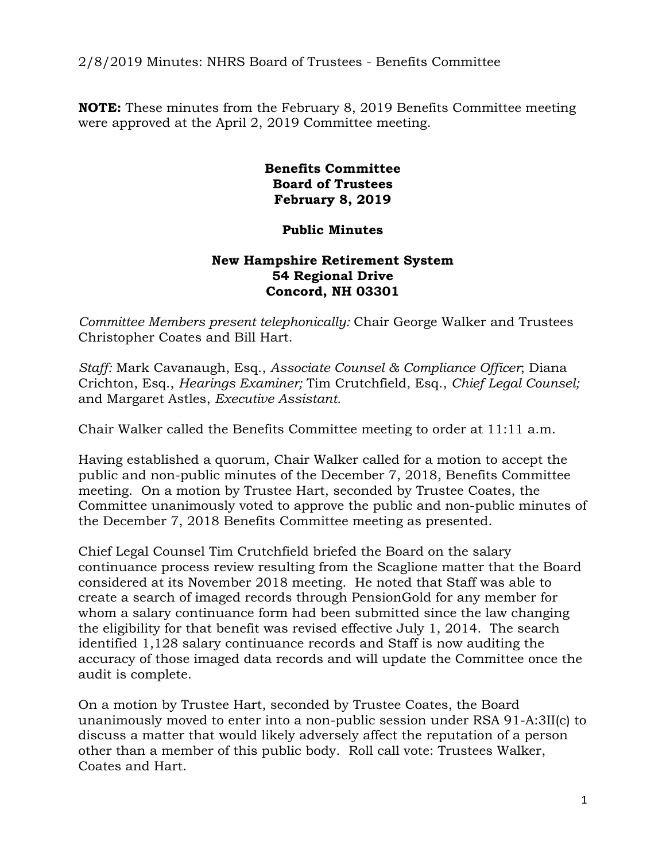2/8/2019 Minutes: NHRS Board of Trustees - Benefits Committee

**NOTE:** These minutes from the February 8, 2019 Benefits Committee meeting were approved at the April 2, 2019 Committee meeting.

> **Benefits Committee Board of Trustees February 8, 2019**

## **Public Minutes**

## **New Hampshire Retirement System 54 Regional Drive Concord, NH 03301**

*Committee Members present telephonically:* Chair George Walker and Trustees Christopher Coates and Bill Hart.

*Staff:* Mark Cavanaugh, Esq., *Associate Counsel & Compliance Officer*; Diana Crichton, Esq., *Hearings Examiner;* Tim Crutchfield, Esq., *Chief Legal Counsel;* and Margaret Astles, *Executive Assistant.* 

Chair Walker called the Benefits Committee meeting to order at 11:11 a.m.

Having established a quorum, Chair Walker called for a motion to accept the public and non-public minutes of the December 7, 2018, Benefits Committee meeting. On a motion by Trustee Hart, seconded by Trustee Coates, the Committee unanimously voted to approve the public and non-public minutes of the December 7, 2018 Benefits Committee meeting as presented.

Chief Legal Counsel Tim Crutchfield briefed the Board on the salary continuance process review resulting from the Scaglione matter that the Board considered at its November 2018 meeting. He noted that Staff was able to create a search of imaged records through PensionGold for any member for whom a salary continuance form had been submitted since the law changing the eligibility for that benefit was revised effective July 1, 2014. The search identified 1,128 salary continuance records and Staff is now auditing the accuracy of those imaged data records and will update the Committee once the audit is complete.

On a motion by Trustee Hart, seconded by Trustee Coates, the Board unanimously moved to enter into a non-public session under RSA 91-A:3II(c) to discuss a matter that would likely adversely affect the reputation of a person other than a member of this public body. Roll call vote: Trustees Walker, Coates and Hart.